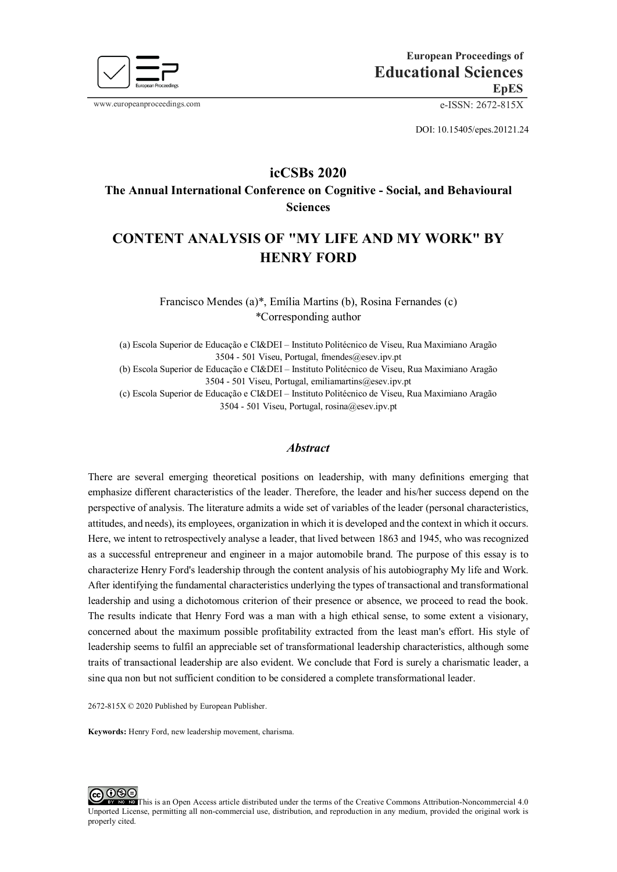

www.europeanproceedings.com e-ISSN: 2672-815X

DOI: 10.15405/epes.20121.24

## **icCSBs 2020**

**The Annual International Conference on Cognitive - Social, and Behavioural Sciences** 

# **CONTENT ANALYSIS OF "MY LIFE AND MY WORK" BY HENRY FORD**

Francisco Mendes (a)\*, Emília Martins (b), Rosina Fernandes (c) \*Corresponding author

(a) Escola Superior de Educação e CI&DEI – Instituto Politécnico de Viseu, Rua Maximiano Aragão 3504 - 501 Viseu, Portugal, fmendes@esev.ipv.pt

(b) Escola Superior de Educação e CI&DEI – Instituto Politécnico de Viseu, Rua Maximiano Aragão 3504 - 501 Viseu, Portugal, emiliamartins@esev.ipv.pt

(c) Escola Superior de Educação e CI&DEI – Instituto Politécnico de Viseu, Rua Maximiano Aragão 3504 - 501 Viseu, Portugal, rosina@esev.ipv.pt

## *Abstract*

There are several emerging theoretical positions on leadership, with many definitions emerging that emphasize different characteristics of the leader. Therefore, the leader and his/her success depend on the perspective of analysis. The literature admits a wide set of variables of the leader (personal characteristics, attitudes, and needs), its employees, organization in which it is developed and the context in which it occurs. Here, we intent to retrospectively analyse a leader, that lived between 1863 and 1945, who was recognized as a successful entrepreneur and engineer in a major automobile brand. The purpose of this essay is to characterize Henry Ford's leadership through the content analysis of his autobiography My life and Work. After identifying the fundamental characteristics underlying the types of transactional and transformational leadership and using a dichotomous criterion of their presence or absence, we proceed to read the book. The results indicate that Henry Ford was a man with a high ethical sense, to some extent a visionary, concerned about the maximum possible profitability extracted from the least man's effort. His style of leadership seems to fulfil an appreciable set of transformational leadership characteristics, although some traits of transactional leadership are also evident. We conclude that Ford is surely a charismatic leader, a sine qua non but not sufficient condition to be considered a complete transformational leader.

2672-815X © 2020 Published by European Publisher.

**Keywords:** Henry Ford, new leadership movement, charisma.

 $O@E$ [T](http://creativecommons.org/licenses/by-nc-nd/4.0/)his is an Open Access article distributed under the terms of the Creative Commons Attribution-Noncommercial 4.0 Unported License, permitting all non-commercial use, distribution, and reproduction in any medium, provided the original work is properly cited.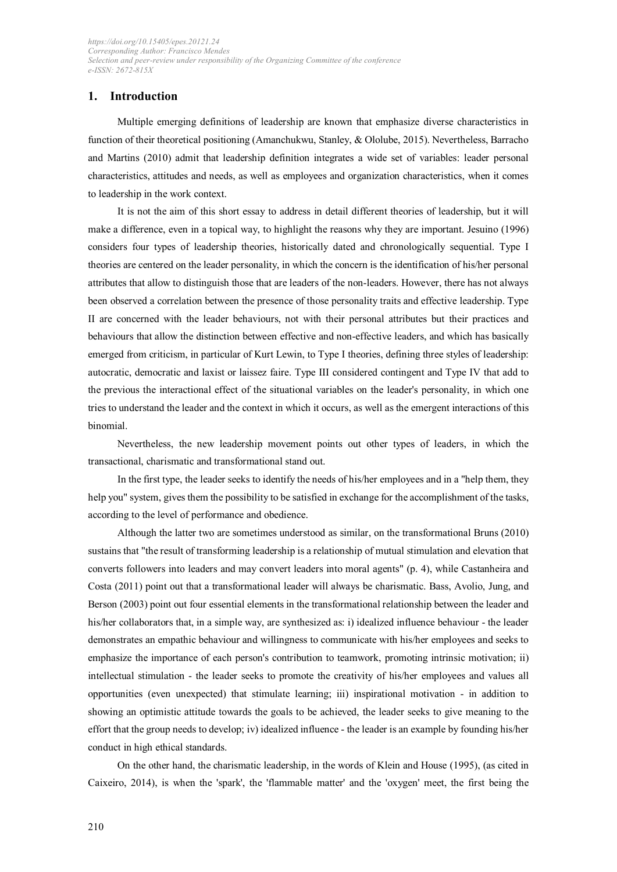## **1. Introduction**

Multiple emerging definitions of leadership are known that emphasize diverse characteristics in function of their theoretical positioning (Amanchukwu, Stanley, & Ololube, 2015). Nevertheless, Barracho and Martins (2010) admit that leadership definition integrates a wide set of variables: leader personal characteristics, attitudes and needs, as well as employees and organization characteristics, when it comes to leadership in the work context.

It is not the aim of this short essay to address in detail different theories of leadership, but it will make a difference, even in a topical way, to highlight the reasons why they are important. Jesuino (1996) considers four types of leadership theories, historically dated and chronologically sequential. Type I theories are centered on the leader personality, in which the concern is the identification of his/her personal attributes that allow to distinguish those that are leaders of the non-leaders. However, there has not always been observed a correlation between the presence of those personality traits and effective leadership. Type II are concerned with the leader behaviours, not with their personal attributes but their practices and behaviours that allow the distinction between effective and non-effective leaders, and which has basically emerged from criticism, in particular of Kurt Lewin, to Type I theories, defining three styles of leadership: autocratic, democratic and laxist or laissez faire. Type III considered contingent and Type IV that add to the previous the interactional effect of the situational variables on the leader's personality, in which one tries to understand the leader and the context in which it occurs, as well as the emergent interactions of this binomial.

Nevertheless, the new leadership movement points out other types of leaders, in which the transactional, charismatic and transformational stand out.

In the first type, the leader seeks to identify the needs of his/her employees and in a "help them, they help you" system, gives them the possibility to be satisfied in exchange for the accomplishment of the tasks, according to the level of performance and obedience.

Although the latter two are sometimes understood as similar, on the transformational Bruns (2010) sustains that "the result of transforming leadership is a relationship of mutual stimulation and elevation that converts followers into leaders and may convert leaders into moral agents" (p. 4), while Castanheira and Costa (2011) point out that a transformational leader will always be charismatic. Bass, Avolio, Jung, and Berson (2003) point out four essential elements in the transformational relationship between the leader and his/her collaborators that, in a simple way, are synthesized as: i) idealized influence behaviour - the leader demonstrates an empathic behaviour and willingness to communicate with his/her employees and seeks to emphasize the importance of each person's contribution to teamwork, promoting intrinsic motivation; ii) intellectual stimulation - the leader seeks to promote the creativity of his/her employees and values all opportunities (even unexpected) that stimulate learning; iii) inspirational motivation - in addition to showing an optimistic attitude towards the goals to be achieved, the leader seeks to give meaning to the effort that the group needs to develop; iv) idealized influence - the leader is an example by founding his/her conduct in high ethical standards.

On the other hand, the charismatic leadership, in the words of Klein and House (1995), (as cited in Caixeiro, 2014), is when the 'spark', the 'flammable matter' and the 'oxygen' meet, the first being the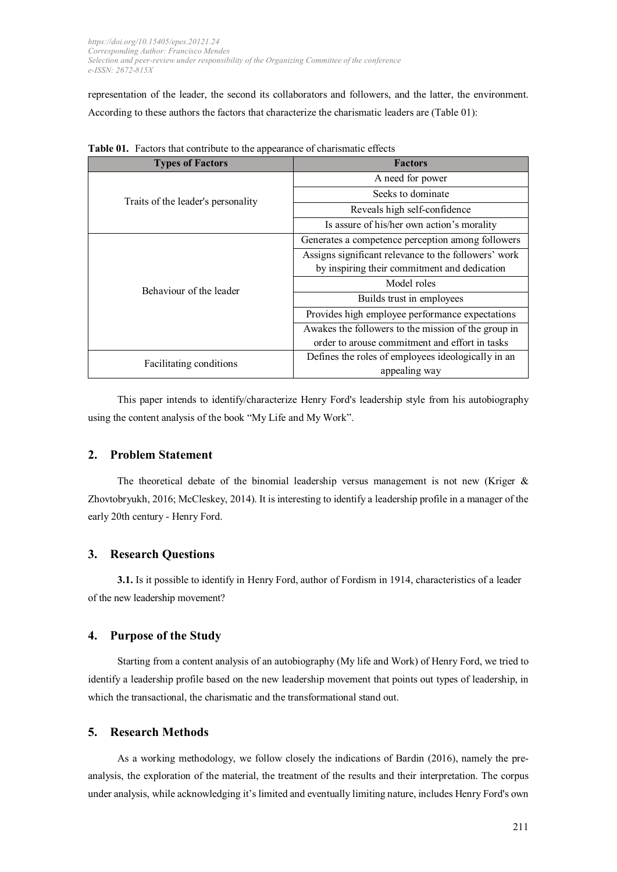representation of the leader, the second its collaborators and followers, and the latter, the environment. According to these authors the factors that characterize the charismatic leaders are (Table 01):

| <b>Types of Factors</b>            | <b>Factors</b>                                       |
|------------------------------------|------------------------------------------------------|
| Traits of the leader's personality | A need for power                                     |
|                                    | Seeks to dominate                                    |
|                                    | Reveals high self-confidence                         |
|                                    | Is assure of his/her own action's morality           |
| Behaviour of the leader            | Generates a competence perception among followers    |
|                                    | Assigns significant relevance to the followers' work |
|                                    | by inspiring their commitment and dedication         |
|                                    | Model roles                                          |
|                                    | Builds trust in employees                            |
|                                    | Provides high employee performance expectations      |
|                                    | Awakes the followers to the mission of the group in  |
|                                    | order to arouse commitment and effort in tasks       |
| Facilitating conditions            | Defines the roles of employees ideologically in an   |
|                                    | appealing way                                        |

**Table 01.** Factors that contribute to the appearance of charismatic effects

This paper intends to identify/characterize Henry Ford's leadership style from his autobiography using the content analysis of the book "My Life and My Work".

## **2. Problem Statement**

The theoretical debate of the binomial leadership versus management is not new (Kriger & Zhovtobryukh, 2016; McCleskey, 2014). It is interesting to identify a leadership profile in a manager of the early 20th century - Henry Ford.

## **3. Research Questions**

**3.1.** Is it possible to identify in Henry Ford, author of Fordism in 1914, characteristics of a leader of the new leadership movement?

#### **4. Purpose of the Study**

Starting from a content analysis of an autobiography (My life and Work) of Henry Ford, we tried to identify a leadership profile based on the new leadership movement that points out types of leadership, in which the transactional, the charismatic and the transformational stand out.

## **5. Research Methods**

As a working methodology, we follow closely the indications of Bardin (2016), namely the preanalysis, the exploration of the material, the treatment of the results and their interpretation. The corpus under analysis, while acknowledging it's limited and eventually limiting nature, includes Henry Ford's own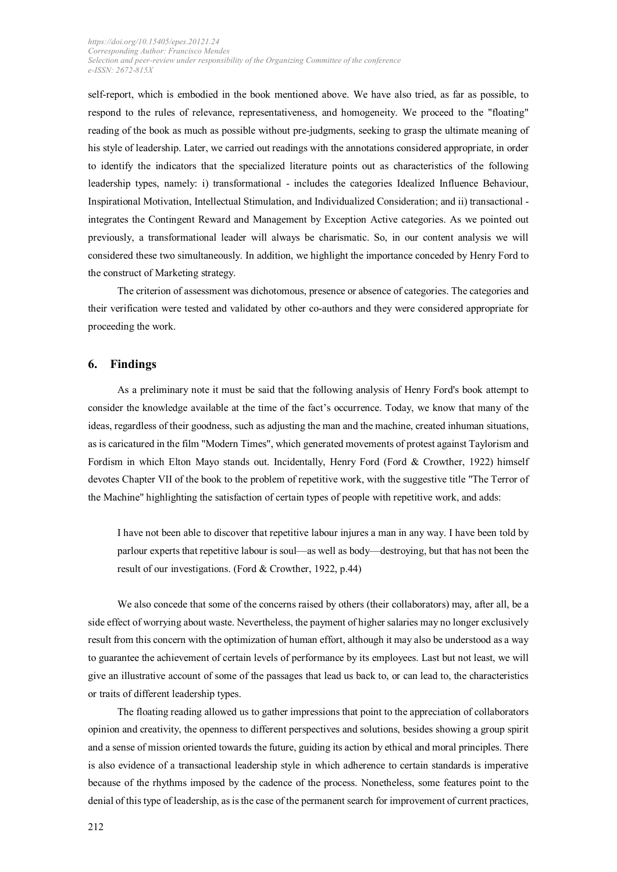self-report, which is embodied in the book mentioned above. We have also tried, as far as possible, to respond to the rules of relevance, representativeness, and homogeneity. We proceed to the "floating" reading of the book as much as possible without pre-judgments, seeking to grasp the ultimate meaning of his style of leadership. Later, we carried out readings with the annotations considered appropriate, in order to identify the indicators that the specialized literature points out as characteristics of the following leadership types, namely: i) transformational - includes the categories Idealized Influence Behaviour, Inspirational Motivation, Intellectual Stimulation, and Individualized Consideration; and ii) transactional integrates the Contingent Reward and Management by Exception Active categories. As we pointed out previously, a transformational leader will always be charismatic. So, in our content analysis we will considered these two simultaneously. In addition, we highlight the importance conceded by Henry Ford to the construct of Marketing strategy.

The criterion of assessment was dichotomous, presence or absence of categories. The categories and their verification were tested and validated by other co-authors and they were considered appropriate for proceeding the work.

#### **6. Findings**

As a preliminary note it must be said that the following analysis of Henry Ford's book attempt to consider the knowledge available at the time of the fact's occurrence. Today, we know that many of the ideas, regardless of their goodness, such as adjusting the man and the machine, created inhuman situations, as is caricatured in the film "Modern Times", which generated movements of protest against Taylorism and Fordism in which Elton Mayo stands out. Incidentally, Henry Ford (Ford & Crowther, 1922) himself devotes Chapter VII of the book to the problem of repetitive work, with the suggestive title "The Terror of the Machine" highlighting the satisfaction of certain types of people with repetitive work, and adds:

I have not been able to discover that repetitive labour injures a man in any way. I have been told by parlour experts that repetitive labour is soul—as well as body—destroying, but that has not been the result of our investigations. (Ford & Crowther, 1922, p.44)

We also concede that some of the concerns raised by others (their collaborators) may, after all, be a side effect of worrying about waste. Nevertheless, the payment of higher salaries may no longer exclusively result from this concern with the optimization of human effort, although it may also be understood as a way to guarantee the achievement of certain levels of performance by its employees. Last but not least, we will give an illustrative account of some of the passages that lead us back to, or can lead to, the characteristics or traits of different leadership types.

The floating reading allowed us to gather impressions that point to the appreciation of collaborators opinion and creativity, the openness to different perspectives and solutions, besides showing a group spirit and a sense of mission oriented towards the future, guiding its action by ethical and moral principles. There is also evidence of a transactional leadership style in which adherence to certain standards is imperative because of the rhythms imposed by the cadence of the process. Nonetheless, some features point to the denial of this type of leadership, as is the case of the permanent search for improvement of current practices,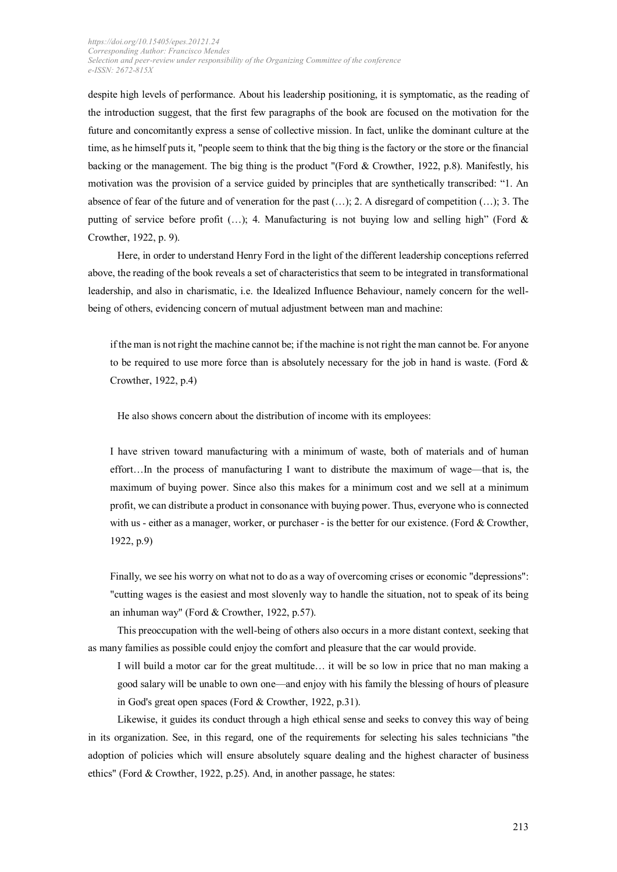despite high levels of performance. About his leadership positioning, it is symptomatic, as the reading of the introduction suggest, that the first few paragraphs of the book are focused on the motivation for the future and concomitantly express a sense of collective mission. In fact, unlike the dominant culture at the time, as he himself puts it, "people seem to think that the big thing is the factory or the store or the financial backing or the management. The big thing is the product "(Ford & Crowther, 1922, p.8). Manifestly, his motivation was the provision of a service guided by principles that are synthetically transcribed: "1. An absence of fear of the future and of veneration for the past (…); 2. A disregard of competition (…); 3. The putting of service before profit (...); 4. Manufacturing is not buying low and selling high" (Ford & Crowther, 1922, p. 9).

Here, in order to understand Henry Ford in the light of the different leadership conceptions referred above, the reading of the book reveals a set of characteristics that seem to be integrated in transformational leadership, and also in charismatic, i.e. the Idealized Influence Behaviour, namely concern for the wellbeing of others, evidencing concern of mutual adjustment between man and machine:

if the man is not right the machine cannot be; if the machine is not right the man cannot be. For anyone to be required to use more force than is absolutely necessary for the job in hand is waste. (Ford & Crowther, 1922, p.4)

He also shows concern about the distribution of income with its employees:

I have striven toward manufacturing with a minimum of waste, both of materials and of human effort…In the process of manufacturing I want to distribute the maximum of wage—that is, the maximum of buying power. Since also this makes for a minimum cost and we sell at a minimum profit, we can distribute a product in consonance with buying power. Thus, everyone who is connected with us - either as a manager, worker, or purchaser - is the better for our existence. (Ford & Crowther, 1922, p.9)

Finally, we see his worry on what not to do as a way of overcoming crises or economic "depressions": "cutting wages is the easiest and most slovenly way to handle the situation, not to speak of its being an inhuman way" (Ford & Crowther, 1922, p.57).

This preoccupation with the well-being of others also occurs in a more distant context, seeking that as many families as possible could enjoy the comfort and pleasure that the car would provide.

I will build a motor car for the great multitude… it will be so low in price that no man making a good salary will be unable to own one—and enjoy with his family the blessing of hours of pleasure in God's great open spaces (Ford & Crowther, 1922, p.31).

Likewise, it guides its conduct through a high ethical sense and seeks to convey this way of being in its organization. See, in this regard, one of the requirements for selecting his sales technicians "the adoption of policies which will ensure absolutely square dealing and the highest character of business ethics" (Ford & Crowther, 1922, p.25). And, in another passage, he states: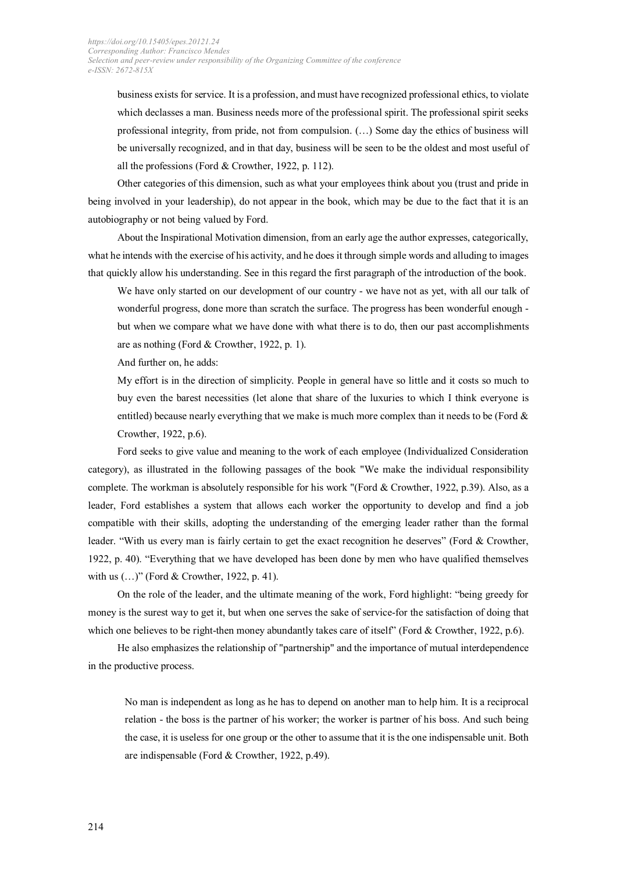business exists for service. It is a profession, and must have recognized professional ethics, to violate which declasses a man. Business needs more of the professional spirit. The professional spirit seeks professional integrity, from pride, not from compulsion. (…) Some day the ethics of business will be universally recognized, and in that day, business will be seen to be the oldest and most useful of all the professions (Ford & Crowther, 1922, p. 112).

Other categories of this dimension, such as what your employees think about you (trust and pride in being involved in your leadership), do not appear in the book, which may be due to the fact that it is an autobiography or not being valued by Ford.

About the Inspirational Motivation dimension, from an early age the author expresses, categorically, what he intends with the exercise of his activity, and he does it through simple words and alluding to images that quickly allow his understanding. See in this regard the first paragraph of the introduction of the book.

We have only started on our development of our country - we have not as yet, with all our talk of wonderful progress, done more than scratch the surface. The progress has been wonderful enough but when we compare what we have done with what there is to do, then our past accomplishments are as nothing (Ford & Crowther, 1922, p. 1).

And further on, he adds:

My effort is in the direction of simplicity. People in general have so little and it costs so much to buy even the barest necessities (let alone that share of the luxuries to which I think everyone is entitled) because nearly everything that we make is much more complex than it needs to be (Ford  $\&$ Crowther, 1922, p.6).

Ford seeks to give value and meaning to the work of each employee (Individualized Consideration category), as illustrated in the following passages of the book "We make the individual responsibility complete. The workman is absolutely responsible for his work "(Ford & Crowther, 1922, p.39). Also, as a leader, Ford establishes a system that allows each worker the opportunity to develop and find a job compatible with their skills, adopting the understanding of the emerging leader rather than the formal leader. "With us every man is fairly certain to get the exact recognition he deserves" (Ford & Crowther, 1922, p. 40). "Everything that we have developed has been done by men who have qualified themselves with us (...)" (Ford & Crowther, 1922, p. 41).

On the role of the leader, and the ultimate meaning of the work, Ford highlight: "being greedy for money is the surest way to get it, but when one serves the sake of service-for the satisfaction of doing that which one believes to be right-then money abundantly takes care of itself' (Ford & Crowther, 1922, p.6).

He also emphasizes the relationship of "partnership" and the importance of mutual interdependence in the productive process.

No man is independent as long as he has to depend on another man to help him. It is a reciprocal relation - the boss is the partner of his worker; the worker is partner of his boss. And such being the case, it is useless for one group or the other to assume that it is the one indispensable unit. Both are indispensable (Ford & Crowther, 1922, p.49).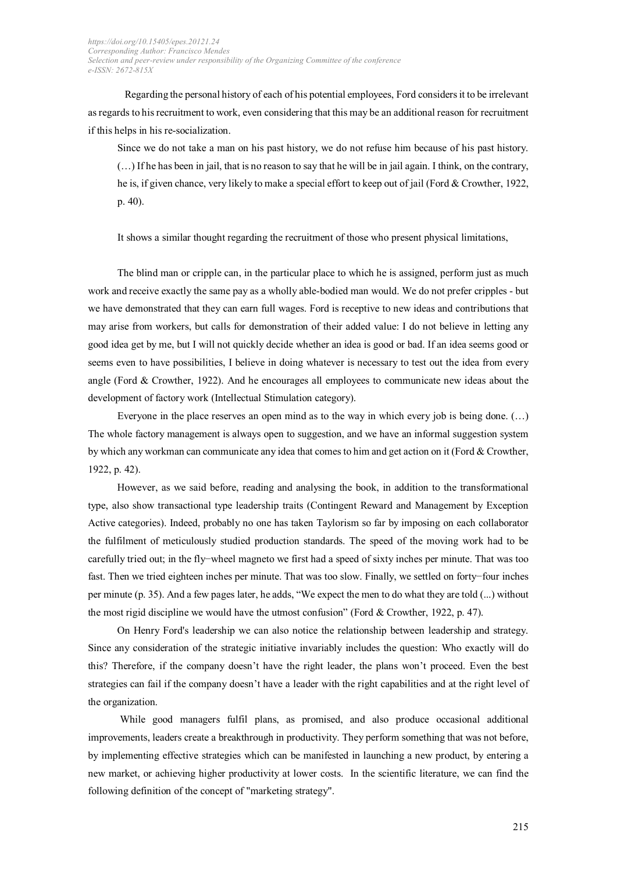Regarding the personal history of each of his potential employees, Ford considers it to be irrelevant as regards to his recruitment to work, even considering that this may be an additional reason for recruitment if this helps in his re-socialization.

Since we do not take a man on his past history, we do not refuse him because of his past history. (…) If he has been in jail, that is no reason to say that he will be in jail again. I think, on the contrary, he is, if given chance, very likely to make a special effort to keep out of jail (Ford & Crowther, 1922, p. 40).

It shows a similar thought regarding the recruitment of those who present physical limitations,

The blind man or cripple can, in the particular place to which he is assigned, perform just as much work and receive exactly the same pay as a wholly able-bodied man would. We do not prefer cripples - but we have demonstrated that they can earn full wages. Ford is receptive to new ideas and contributions that may arise from workers, but calls for demonstration of their added value: I do not believe in letting any good idea get by me, but I will not quickly decide whether an idea is good or bad. If an idea seems good or seems even to have possibilities, I believe in doing whatever is necessary to test out the idea from every angle (Ford & Crowther, 1922). And he encourages all employees to communicate new ideas about the development of factory work (Intellectual Stimulation category).

Everyone in the place reserves an open mind as to the way in which every job is being done.  $(...)$ The whole factory management is always open to suggestion, and we have an informal suggestion system by which any workman can communicate any idea that comes to him and get action on it (Ford & Crowther, 1922, p. 42).

However, as we said before, reading and analysing the book, in addition to the transformational type, also show transactional type leadership traits (Contingent Reward and Management by Exception Active categories). Indeed, probably no one has taken Taylorism so far by imposing on each collaborator the fulfilment of meticulously studied production standards. The speed of the moving work had to be carefully tried out; in the fly−wheel magneto we first had a speed of sixty inches per minute. That was too fast. Then we tried eighteen inches per minute. That was too slow. Finally, we settled on forty−four inches per minute (p. 35). And a few pages later, he adds, "We expect the men to do what they are told (...) without the most rigid discipline we would have the utmost confusion" (Ford & Crowther, 1922, p. 47).

On Henry Ford's leadership we can also notice the relationship between leadership and strategy. Since any consideration of the strategic initiative invariably includes the question: Who exactly will do this? Therefore, if the company doesn't have the right leader, the plans won't proceed. Even the best strategies can fail if the company doesn't have a leader with the right capabilities and at the right level of the organization.

While good managers fulfil plans, as promised, and also produce occasional additional improvements, leaders create a breakthrough in productivity. They perform something that was not before, by implementing effective strategies which can be manifested in launching a new product, by entering a new market, or achieving higher productivity at lower costs. In the scientific literature, we can find the following definition of the concept of "marketing strategy".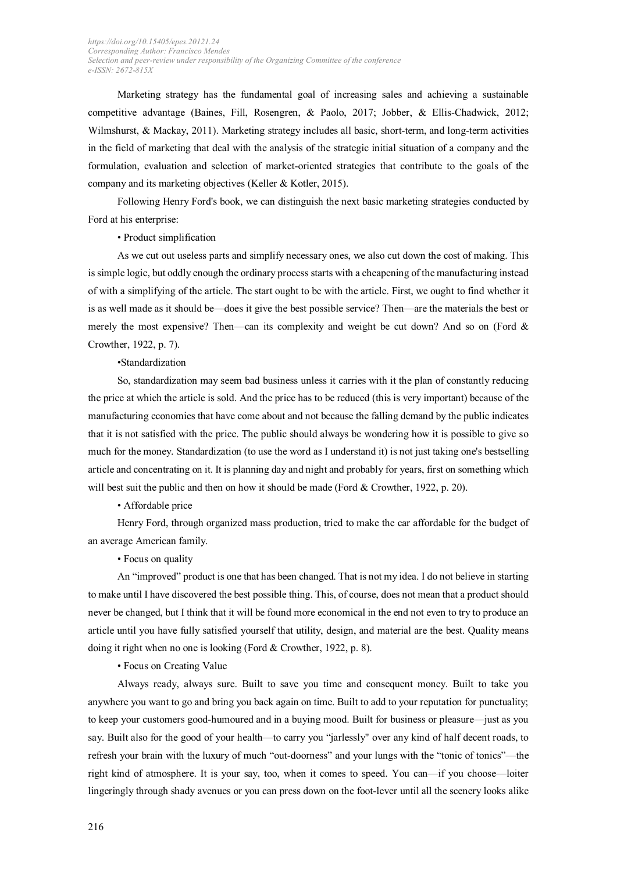Marketing strategy has the fundamental goal of increasing sales and achieving a sustainable competitive advantage (Baines, Fill, Rosengren, & Paolo, 2017; Jobber, & Ellis-Chadwick, 2012; Wilmshurst, & Mackay, 2011). Marketing strategy includes all basic, short-term, and long-term activities in the field of marketing that deal with the analysis of the strategic initial situation of a company and the formulation, evaluation and selection of market-oriented strategies that contribute to the goals of the company and its marketing objectives (Keller & Kotler, 2015).

Following Henry Ford's book, we can distinguish the next basic marketing strategies conducted by Ford at his enterprise:

• Product simplification

As we cut out useless parts and simplify necessary ones, we also cut down the cost of making. This is simple logic, but oddly enough the ordinary process starts with a cheapening of the manufacturing instead of with a simplifying of the article. The start ought to be with the article. First, we ought to find whether it is as well made as it should be—does it give the best possible service? Then—are the materials the best or merely the most expensive? Then—can its complexity and weight be cut down? And so on (Ford  $\&$ Crowther, 1922, p. 7).

#### •Standardization

So, standardization may seem bad business unless it carries with it the plan of constantly reducing the price at which the article is sold. And the price has to be reduced (this is very important) because of the manufacturing economies that have come about and not because the falling demand by the public indicates that it is not satisfied with the price. The public should always be wondering how it is possible to give so much for the money. Standardization (to use the word as I understand it) is not just taking one's bestselling article and concentrating on it. It is planning day and night and probably for years, first on something which will best suit the public and then on how it should be made (Ford & Crowther, 1922, p. 20).

• Affordable price

Henry Ford, through organized mass production, tried to make the car affordable for the budget of an average American family.

#### • Focus on quality

An "improved" product is one that has been changed. That is not my idea. I do not believe in starting to make until I have discovered the best possible thing. This, of course, does not mean that a product should never be changed, but I think that it will be found more economical in the end not even to try to produce an article until you have fully satisfied yourself that utility, design, and material are the best. Quality means doing it right when no one is looking (Ford & Crowther, 1922, p. 8).

• Focus on Creating Value

Always ready, always sure. Built to save you time and consequent money. Built to take you anywhere you want to go and bring you back again on time. Built to add to your reputation for punctuality; to keep your customers good-humoured and in a buying mood. Built for business or pleasure—just as you say. Built also for the good of your health—to carry you "jarlessly" over any kind of half decent roads, to refresh your brain with the luxury of much "out-doorness" and your lungs with the "tonic of tonics"—the right kind of atmosphere. It is your say, too, when it comes to speed. You can—if you choose—loiter lingeringly through shady avenues or you can press down on the foot-lever until all the scenery looks alike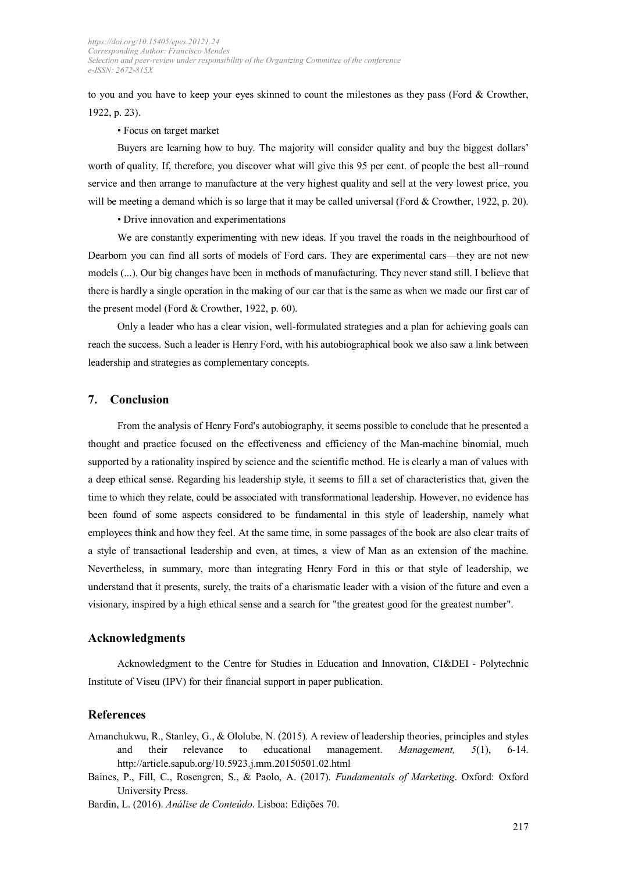to you and you have to keep your eyes skinned to count the milestones as they pass (Ford & Crowther, 1922, p. 23).

• Focus on target market

Buyers are learning how to buy. The majority will consider quality and buy the biggest dollars' worth of quality. If, therefore, you discover what will give this 95 per cent. of people the best all−round service and then arrange to manufacture at the very highest quality and sell at the very lowest price, you will be meeting a demand which is so large that it may be called universal (Ford & Crowther, 1922, p. 20).

• Drive innovation and experimentations

We are constantly experimenting with new ideas. If you travel the roads in the neighbourhood of Dearborn you can find all sorts of models of Ford cars. They are experimental cars—they are not new models (...). Our big changes have been in methods of manufacturing. They never stand still. I believe that there is hardly a single operation in the making of our car that is the same as when we made our first car of the present model (Ford & Crowther, 1922, p. 60).

Only a leader who has a clear vision, well-formulated strategies and a plan for achieving goals can reach the success. Such a leader is Henry Ford, with his autobiographical book we also saw a link between leadership and strategies as complementary concepts.

#### **7. Conclusion**

From the analysis of Henry Ford's autobiography, it seems possible to conclude that he presented a thought and practice focused on the effectiveness and efficiency of the Man-machine binomial, much supported by a rationality inspired by science and the scientific method. He is clearly a man of values with a deep ethical sense. Regarding his leadership style, it seems to fill a set of characteristics that, given the time to which they relate, could be associated with transformational leadership. However, no evidence has been found of some aspects considered to be fundamental in this style of leadership, namely what employees think and how they feel. At the same time, in some passages of the book are also clear traits of a style of transactional leadership and even, at times, a view of Man as an extension of the machine. Nevertheless, in summary, more than integrating Henry Ford in this or that style of leadership, we understand that it presents, surely, the traits of a charismatic leader with a vision of the future and even a visionary, inspired by a high ethical sense and a search for "the greatest good for the greatest number".

## **Acknowledgments**

Acknowledgment to the Centre for Studies in Education and Innovation, CI&DEI - Polytechnic Institute of Viseu (IPV) for their financial support in paper publication.

#### **References**

Amanchukwu, R., Stanley, G., & Ololube, N. (2015). A review of leadership theories, principles and styles and their relevance to educational management. *Management, 5*(1), 6-14. http://article.sapub.org/10.5923.j.mm.20150501.02.html

Baines, P., Fill, C., Rosengren, S., & Paolo, A. (2017). *Fundamentals of Marketing*. Oxford: Oxford University Press.

Bardin, L. (2016). *Análise de Conteúdo*. Lisboa: Edições 70.